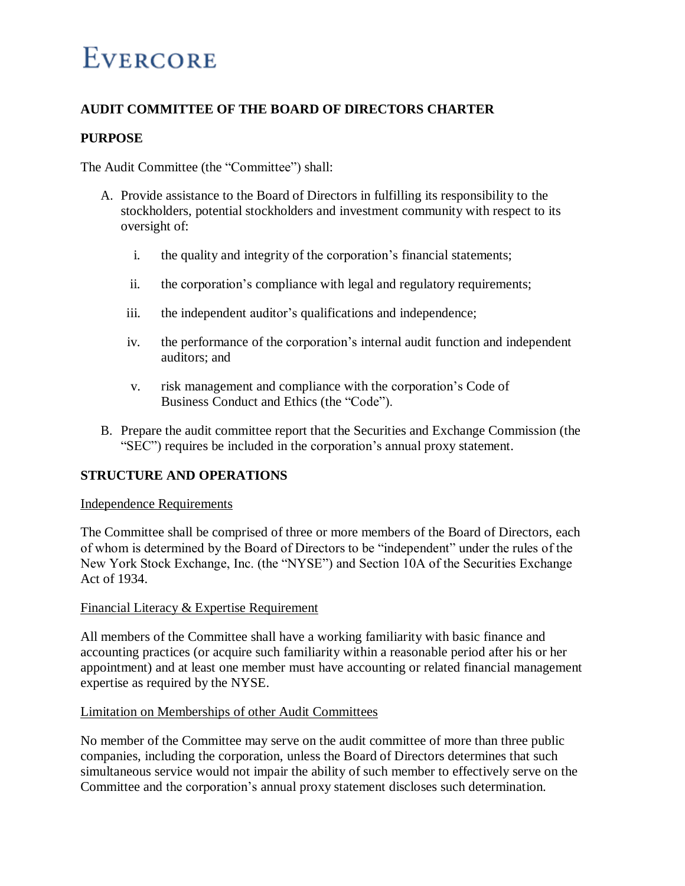## **AUDIT COMMITTEE OF THE BOARD OF DIRECTORS CHARTER**

### **PURPOSE**

The Audit Committee (the "Committee") shall:

- A. Provide assistance to the Board of Directors in fulfilling its responsibility to the stockholders, potential stockholders and investment community with respect to its oversight of:
	- i. the quality and integrity of the corporation's financial statements;
	- ii. the corporation's compliance with legal and regulatory requirements;
	- iii. the independent auditor's qualifications and independence;
	- iv. the performance of the corporation's internal audit function and independent auditors; and
	- v. risk management and compliance with the corporation's Code of Business Conduct and Ethics (the "Code").
- B. Prepare the audit committee report that the Securities and Exchange Commission (the "SEC") requires be included in the corporation's annual proxy statement.

## **STRUCTURE AND OPERATIONS**

### Independence Requirements

The Committee shall be comprised of three or more members of the Board of Directors, each of whom is determined by the Board of Directors to be "independent" under the rules of the New York Stock Exchange, Inc. (the "NYSE") and Section 10A of the Securities Exchange Act of 1934.

### Financial Literacy & Expertise Requirement

All members of the Committee shall have a working familiarity with basic finance and accounting practices (or acquire such familiarity within a reasonable period after his or her appointment) and at least one member must have accounting or related financial management expertise as required by the NYSE.

### Limitation on Memberships of other Audit Committees

No member of the Committee may serve on the audit committee of more than three public companies, including the corporation, unless the Board of Directors determines that such simultaneous service would not impair the ability of such member to effectively serve on the Committee and the corporation's annual proxy statement discloses such determination.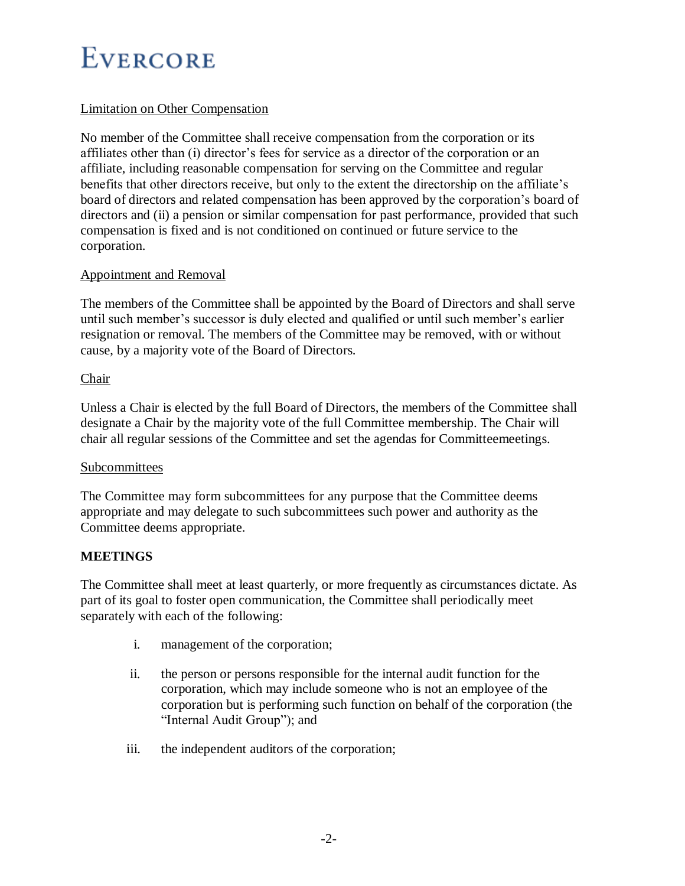## Limitation on Other Compensation

No member of the Committee shall receive compensation from the corporation or its affiliates other than (i) director's fees for service as a director of the corporation or an affiliate, including reasonable compensation for serving on the Committee and regular benefits that other directors receive, but only to the extent the directorship on the affiliate's board of directors and related compensation has been approved by the corporation's board of directors and (ii) a pension or similar compensation for past performance, provided that such compensation is fixed and is not conditioned on continued or future service to the corporation.

## Appointment and Removal

The members of the Committee shall be appointed by the Board of Directors and shall serve until such member's successor is duly elected and qualified or until such member's earlier resignation or removal. The members of the Committee may be removed, with or without cause, by a majority vote of the Board of Directors.

### Chair

Unless a Chair is elected by the full Board of Directors, the members of the Committee shall designate a Chair by the majority vote of the full Committee membership. The Chair will chair all regular sessions of the Committee and set the agendas for Committeemeetings.

### Subcommittees

The Committee may form subcommittees for any purpose that the Committee deems appropriate and may delegate to such subcommittees such power and authority as the Committee deems appropriate.

## **MEETINGS**

The Committee shall meet at least quarterly, or more frequently as circumstances dictate. As part of its goal to foster open communication, the Committee shall periodically meet separately with each of the following:

- i. management of the corporation;
- ii. the person or persons responsible for the internal audit function for the corporation, which may include someone who is not an employee of the corporation but is performing such function on behalf of the corporation (the "Internal Audit Group"); and
- iii. the independent auditors of the corporation;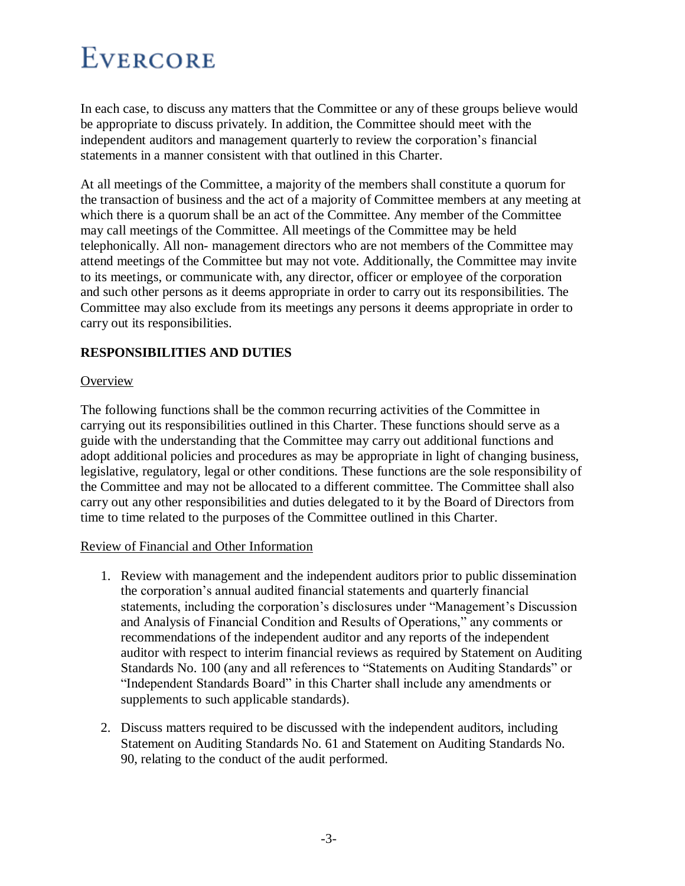In each case, to discuss any matters that the Committee or any of these groups believe would be appropriate to discuss privately. In addition, the Committee should meet with the independent auditors and management quarterly to review the corporation's financial statements in a manner consistent with that outlined in this Charter.

At all meetings of the Committee, a majority of the members shall constitute a quorum for the transaction of business and the act of a majority of Committee members at any meeting at which there is a quorum shall be an act of the Committee. Any member of the Committee may call meetings of the Committee. All meetings of the Committee may be held telephonically. All non- management directors who are not members of the Committee may attend meetings of the Committee but may not vote. Additionally, the Committee may invite to its meetings, or communicate with, any director, officer or employee of the corporation and such other persons as it deems appropriate in order to carry out its responsibilities. The Committee may also exclude from its meetings any persons it deems appropriate in order to carry out its responsibilities.

## **RESPONSIBILITIES AND DUTIES**

### **Overview**

The following functions shall be the common recurring activities of the Committee in carrying out its responsibilities outlined in this Charter. These functions should serve as a guide with the understanding that the Committee may carry out additional functions and adopt additional policies and procedures as may be appropriate in light of changing business, legislative, regulatory, legal or other conditions. These functions are the sole responsibility of the Committee and may not be allocated to a different committee. The Committee shall also carry out any other responsibilities and duties delegated to it by the Board of Directors from time to time related to the purposes of the Committee outlined in this Charter.

## Review of Financial and Other Information

- 1. Review with management and the independent auditors prior to public dissemination the corporation's annual audited financial statements and quarterly financial statements, including the corporation's disclosures under "Management's Discussion and Analysis of Financial Condition and Results of Operations," any comments or recommendations of the independent auditor and any reports of the independent auditor with respect to interim financial reviews as required by Statement on Auditing Standards No. 100 (any and all references to "Statements on Auditing Standards" or "Independent Standards Board" in this Charter shall include any amendments or supplements to such applicable standards).
- 2. Discuss matters required to be discussed with the independent auditors, including Statement on Auditing Standards No. 61 and Statement on Auditing Standards No. 90, relating to the conduct of the audit performed.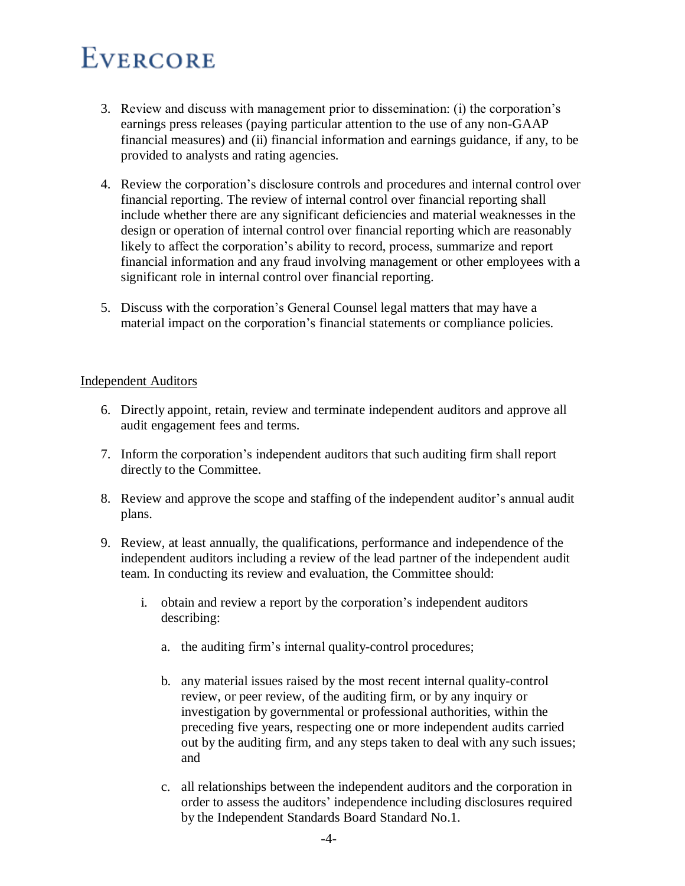- 3. Review and discuss with management prior to dissemination: (i) the corporation's earnings press releases (paying particular attention to the use of any non-GAAP financial measures) and (ii) financial information and earnings guidance, if any, to be provided to analysts and rating agencies.
- 4. Review the corporation's disclosure controls and procedures and internal control over financial reporting. The review of internal control over financial reporting shall include whether there are any significant deficiencies and material weaknesses in the design or operation of internal control over financial reporting which are reasonably likely to affect the corporation's ability to record, process, summarize and report financial information and any fraud involving management or other employees with a significant role in internal control over financial reporting.
- 5. Discuss with the corporation's General Counsel legal matters that may have a material impact on the corporation's financial statements or compliance policies.

### Independent Auditors

- 6. Directly appoint, retain, review and terminate independent auditors and approve all audit engagement fees and terms.
- 7. Inform the corporation's independent auditors that such auditing firm shall report directly to the Committee.
- 8. Review and approve the scope and staffing of the independent auditor's annual audit plans.
- 9. Review, at least annually, the qualifications, performance and independence of the independent auditors including a review of the lead partner of the independent audit team. In conducting its review and evaluation, the Committee should:
	- i. obtain and review a report by the corporation's independent auditors describing:
		- a. the auditing firm's internal quality-control procedures;
		- b. any material issues raised by the most recent internal quality-control review, or peer review, of the auditing firm, or by any inquiry or investigation by governmental or professional authorities, within the preceding five years, respecting one or more independent audits carried out by the auditing firm, and any steps taken to deal with any such issues; and
		- c. all relationships between the independent auditors and the corporation in order to assess the auditors' independence including disclosures required by the Independent Standards Board Standard No.1.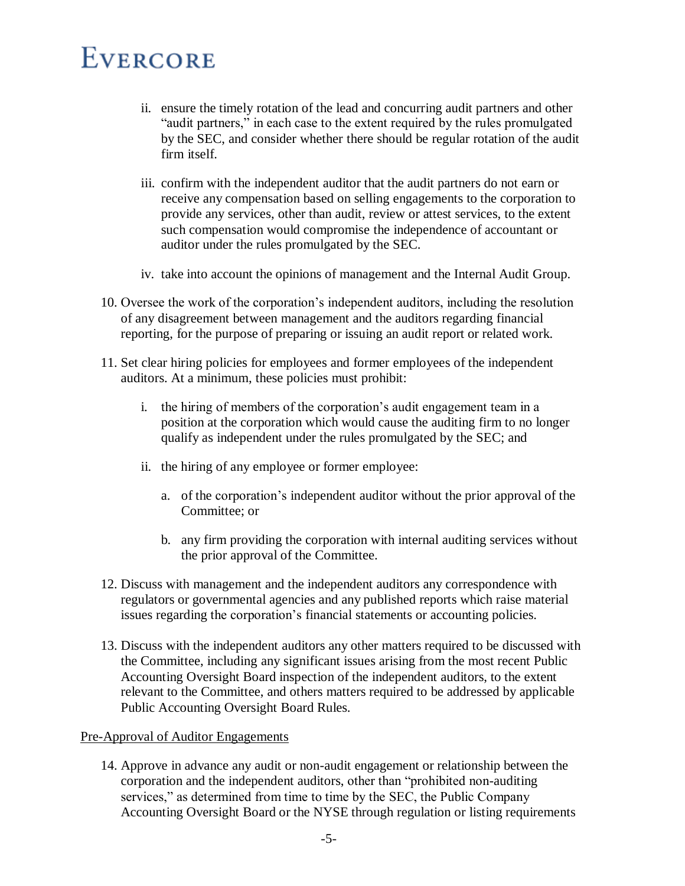- ii. ensure the timely rotation of the lead and concurring audit partners and other "audit partners," in each case to the extent required by the rules promulgated by the SEC, and consider whether there should be regular rotation of the audit firm itself.
- iii. confirm with the independent auditor that the audit partners do not earn or receive any compensation based on selling engagements to the corporation to provide any services, other than audit, review or attest services, to the extent such compensation would compromise the independence of accountant or auditor under the rules promulgated by the SEC.
- iv. take into account the opinions of management and the Internal Audit Group.
- 10. Oversee the work of the corporation's independent auditors, including the resolution of any disagreement between management and the auditors regarding financial reporting, for the purpose of preparing or issuing an audit report or related work.
- 11. Set clear hiring policies for employees and former employees of the independent auditors. At a minimum, these policies must prohibit:
	- i. the hiring of members of the corporation's audit engagement team in a position at the corporation which would cause the auditing firm to no longer qualify as independent under the rules promulgated by the SEC; and
	- ii. the hiring of any employee or former employee:
		- a. of the corporation's independent auditor without the prior approval of the Committee; or
		- b. any firm providing the corporation with internal auditing services without the prior approval of the Committee.
- 12. Discuss with management and the independent auditors any correspondence with regulators or governmental agencies and any published reports which raise material issues regarding the corporation's financial statements or accounting policies.
- 13. Discuss with the independent auditors any other matters required to be discussed with the Committee, including any significant issues arising from the most recent Public Accounting Oversight Board inspection of the independent auditors, to the extent relevant to the Committee, and others matters required to be addressed by applicable Public Accounting Oversight Board Rules.

#### Pre-Approval of Auditor Engagements

14. Approve in advance any audit or non-audit engagement or relationship between the corporation and the independent auditors, other than "prohibited non-auditing services," as determined from time to time by the SEC, the Public Company Accounting Oversight Board or the NYSE through regulation or listing requirements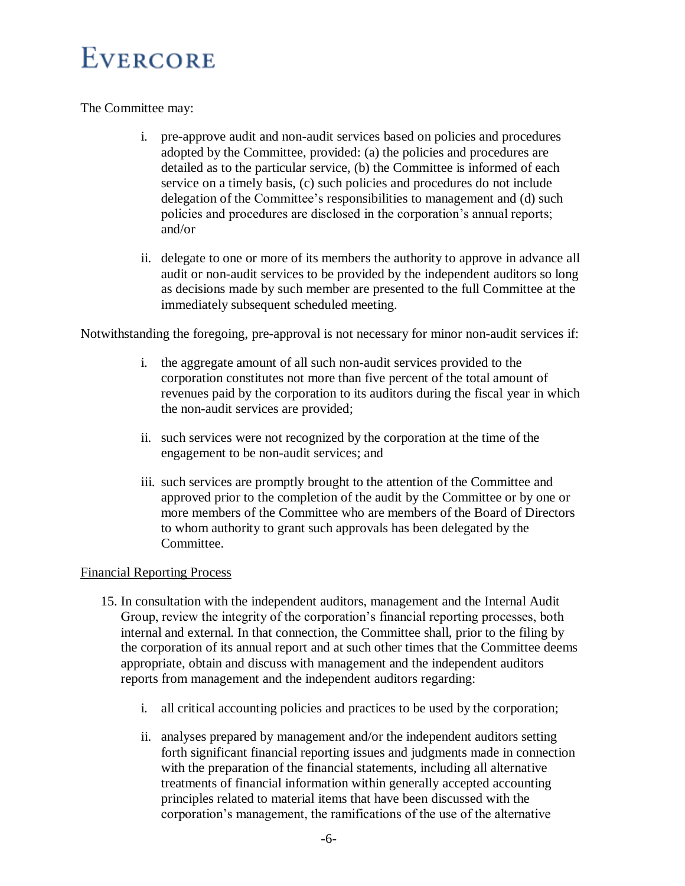The Committee may:

- i. pre-approve audit and non-audit services based on policies and procedures adopted by the Committee, provided: (a) the policies and procedures are detailed as to the particular service, (b) the Committee is informed of each service on a timely basis, (c) such policies and procedures do not include delegation of the Committee's responsibilities to management and (d) such policies and procedures are disclosed in the corporation's annual reports; and/or
- ii. delegate to one or more of its members the authority to approve in advance all audit or non-audit services to be provided by the independent auditors so long as decisions made by such member are presented to the full Committee at the immediately subsequent scheduled meeting.

Notwithstanding the foregoing, pre-approval is not necessary for minor non-audit services if:

- i. the aggregate amount of all such non-audit services provided to the corporation constitutes not more than five percent of the total amount of revenues paid by the corporation to its auditors during the fiscal year in which the non-audit services are provided;
- ii. such services were not recognized by the corporation at the time of the engagement to be non-audit services; and
- iii. such services are promptly brought to the attention of the Committee and approved prior to the completion of the audit by the Committee or by one or more members of the Committee who are members of the Board of Directors to whom authority to grant such approvals has been delegated by the Committee.

## Financial Reporting Process

- 15. In consultation with the independent auditors, management and the Internal Audit Group, review the integrity of the corporation's financial reporting processes, both internal and external. In that connection, the Committee shall, prior to the filing by the corporation of its annual report and at such other times that the Committee deems appropriate, obtain and discuss with management and the independent auditors reports from management and the independent auditors regarding:
	- i. all critical accounting policies and practices to be used by the corporation;
	- ii. analyses prepared by management and/or the independent auditors setting forth significant financial reporting issues and judgments made in connection with the preparation of the financial statements, including all alternative treatments of financial information within generally accepted accounting principles related to material items that have been discussed with the corporation's management, the ramifications of the use of the alternative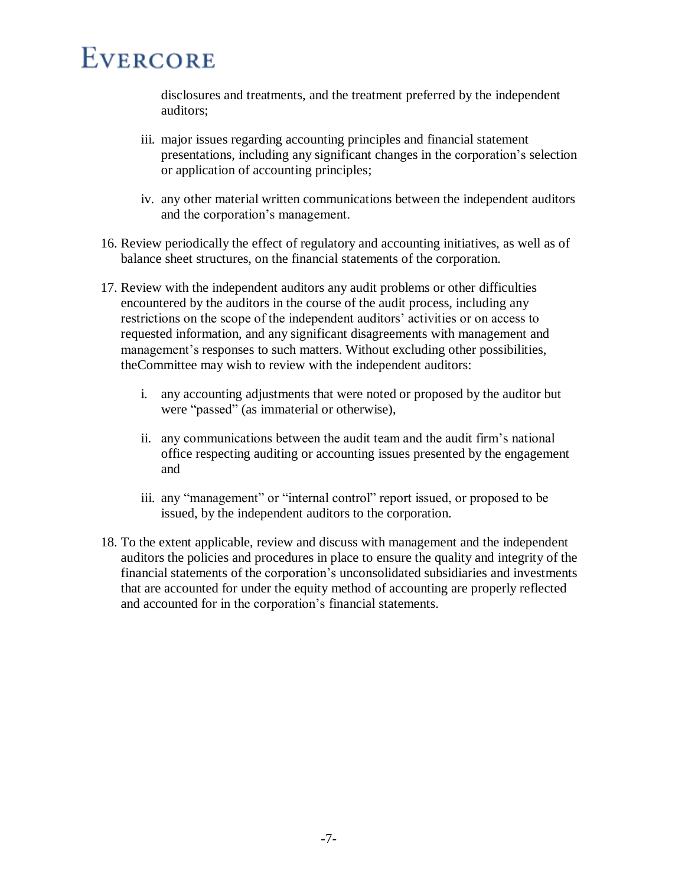disclosures and treatments, and the treatment preferred by the independent auditors;

- iii. major issues regarding accounting principles and financial statement presentations, including any significant changes in the corporation's selection or application of accounting principles;
- iv. any other material written communications between the independent auditors and the corporation's management.
- 16. Review periodically the effect of regulatory and accounting initiatives, as well as of balance sheet structures, on the financial statements of the corporation.
- 17. Review with the independent auditors any audit problems or other difficulties encountered by the auditors in the course of the audit process, including any restrictions on the scope of the independent auditors' activities or on access to requested information, and any significant disagreements with management and management's responses to such matters. Without excluding other possibilities, theCommittee may wish to review with the independent auditors:
	- i. any accounting adjustments that were noted or proposed by the auditor but were "passed" (as immaterial or otherwise),
	- ii. any communications between the audit team and the audit firm's national office respecting auditing or accounting issues presented by the engagement and
	- iii. any "management" or "internal control" report issued, or proposed to be issued, by the independent auditors to the corporation.
- 18. To the extent applicable, review and discuss with management and the independent auditors the policies and procedures in place to ensure the quality and integrity of the financial statements of the corporation's unconsolidated subsidiaries and investments that are accounted for under the equity method of accounting are properly reflected and accounted for in the corporation's financial statements.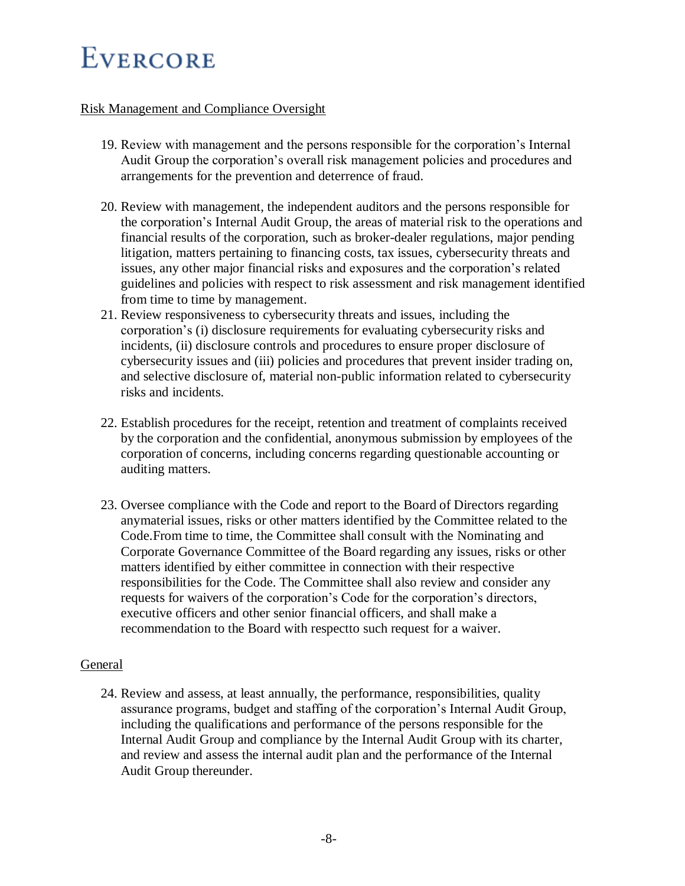## Risk Management and Compliance Oversight

- 19. Review with management and the persons responsible for the corporation's Internal Audit Group the corporation's overall risk management policies and procedures and arrangements for the prevention and deterrence of fraud.
- 20. Review with management, the independent auditors and the persons responsible for the corporation's Internal Audit Group, the areas of material risk to the operations and financial results of the corporation, such as broker-dealer regulations, major pending litigation, matters pertaining to financing costs, tax issues, cybersecurity threats and issues, any other major financial risks and exposures and the corporation's related guidelines and policies with respect to risk assessment and risk management identified from time to time by management.
- 21. Review responsiveness to cybersecurity threats and issues, including the corporation's (i) disclosure requirements for evaluating cybersecurity risks and incidents, (ii) disclosure controls and procedures to ensure proper disclosure of cybersecurity issues and (iii) policies and procedures that prevent insider trading on, and selective disclosure of, material non-public information related to cybersecurity risks and incidents.
- 22. Establish procedures for the receipt, retention and treatment of complaints received by the corporation and the confidential, anonymous submission by employees of the corporation of concerns, including concerns regarding questionable accounting or auditing matters.
- 23. Oversee compliance with the Code and report to the Board of Directors regarding anymaterial issues, risks or other matters identified by the Committee related to the Code.From time to time, the Committee shall consult with the Nominating and Corporate Governance Committee of the Board regarding any issues, risks or other matters identified by either committee in connection with their respective responsibilities for the Code. The Committee shall also review and consider any requests for waivers of the corporation's Code for the corporation's directors, executive officers and other senior financial officers, and shall make a recommendation to the Board with respectto such request for a waiver.

### General

24. Review and assess, at least annually, the performance, responsibilities, quality assurance programs, budget and staffing of the corporation's Internal Audit Group, including the qualifications and performance of the persons responsible for the Internal Audit Group and compliance by the Internal Audit Group with its charter, and review and assess the internal audit plan and the performance of the Internal Audit Group thereunder.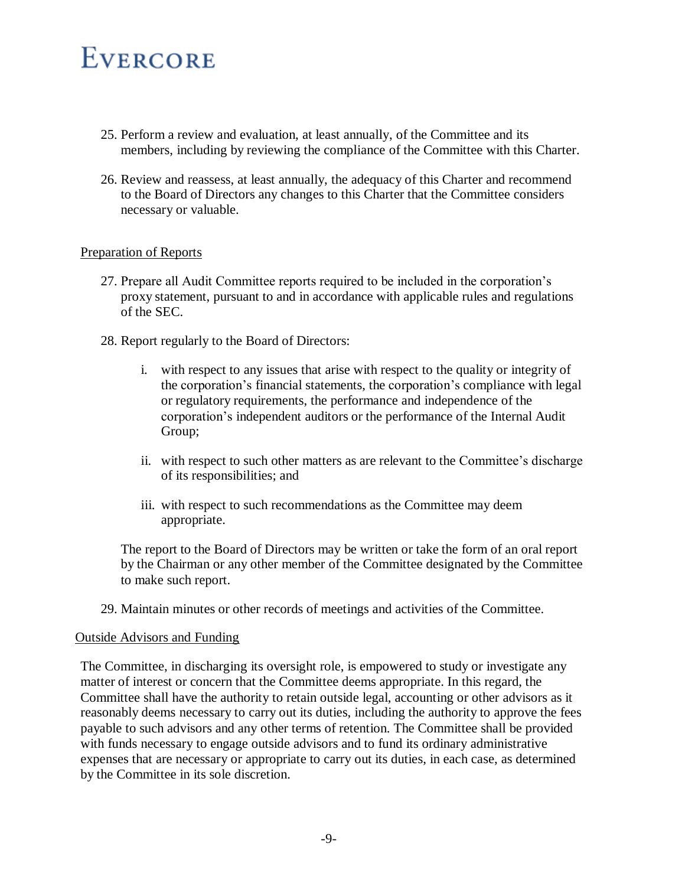- 25. Perform a review and evaluation, at least annually, of the Committee and its members, including by reviewing the compliance of the Committee with this Charter.
- 26. Review and reassess, at least annually, the adequacy of this Charter and recommend to the Board of Directors any changes to this Charter that the Committee considers necessary or valuable.

### Preparation of Reports

- 27. Prepare all Audit Committee reports required to be included in the corporation's proxy statement, pursuant to and in accordance with applicable rules and regulations of the SEC.
- 28. Report regularly to the Board of Directors:
	- i. with respect to any issues that arise with respect to the quality or integrity of the corporation's financial statements, the corporation's compliance with legal or regulatory requirements, the performance and independence of the corporation's independent auditors or the performance of the Internal Audit Group;
	- ii. with respect to such other matters as are relevant to the Committee's discharge of its responsibilities; and
	- iii. with respect to such recommendations as the Committee may deem appropriate.

The report to the Board of Directors may be written or take the form of an oral report by the Chairman or any other member of the Committee designated by the Committee to make such report.

29. Maintain minutes or other records of meetings and activities of the Committee.

### Outside Advisors and Funding

The Committee, in discharging its oversight role, is empowered to study or investigate any matter of interest or concern that the Committee deems appropriate. In this regard, the Committee shall have the authority to retain outside legal, accounting or other advisors as it reasonably deems necessary to carry out its duties, including the authority to approve the fees payable to such advisors and any other terms of retention. The Committee shall be provided with funds necessary to engage outside advisors and to fund its ordinary administrative expenses that are necessary or appropriate to carry out its duties, in each case, as determined by the Committee in its sole discretion.